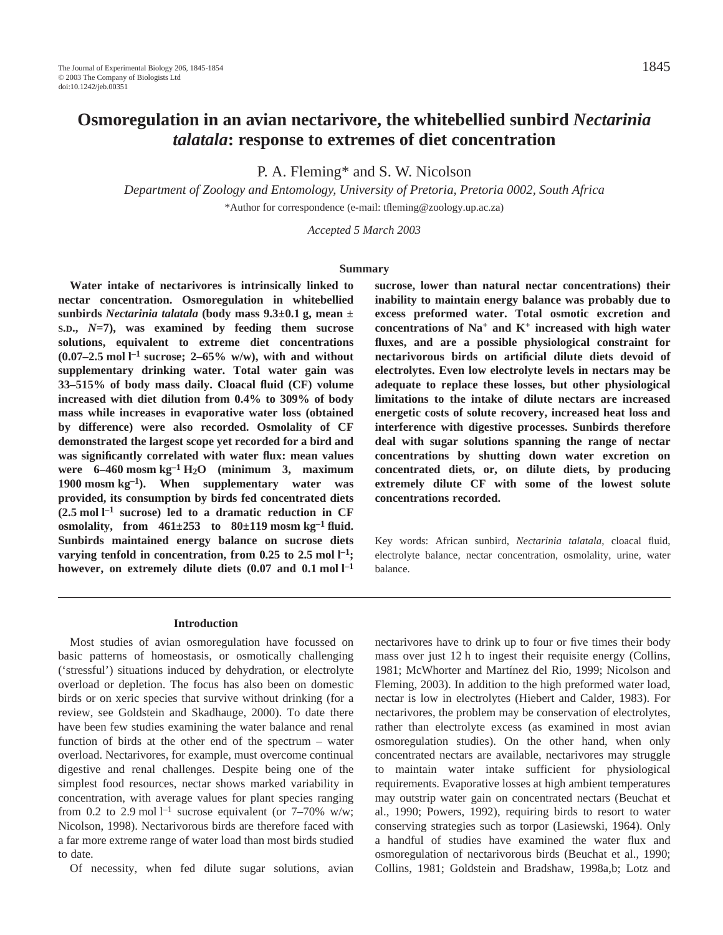P. A. Fleming\* and S. W. Nicolson

*Department of Zoology and Entomology, University of Pretoria, Pretoria 0002, South Africa*  \*Author for correspondence (e-mail: tfleming@zoology.up.ac.za)

*Accepted 5 March 2003* 

#### **Summary**

**Water intake of nectarivores is intrinsically linked to nectar concentration. Osmoregulation in whitebellied sunbirds** *Nectarinia talatala* (body mass  $9.3\pm0.1$  g, mean  $\pm$ **S.D.,** *N***=7), was examined by feeding them sucrose solutions, equivalent to extreme diet concentrations**  $(0.07-2.5 \text{ mol } l^{-1} \text{ sucrose}; 2-65\% \text{ w/w}),$  with and without **supplementary drinking water. Total water gain was 33–515% of body mass daily. Cloacal fluid (CF) volume increased with diet dilution from 0.4% to 309% of body mass while increases in evaporative water loss (obtained by difference) were also recorded. Osmolality of CF demonstrated the largest scope yet recorded for a bird and was significantly correlated with water flux: mean values** were  $6-460$  mosm  $kg^{-1}H_2O$  (minimum 3, maximum 1900 mosm  $kg^{-1}$ ). When supplementary water was **provided, its consumption by birds fed concentrated diets**  $(2.5 \text{ mol } l^{-1} \text{ sucrose})$  led to a dramatic reduction in CF osmolality, from  $461\pm253$  to  $80\pm119$  mosm kg<sup>-1</sup> fluid. **Sunbirds maintained energy balance on sucrose diets** varying tenfold in concentration, from 0.25 to 2.5 mol  $l^{-1}$ ; however, on extremely dilute diets (0.07 and 0.1 mol  $l^{-1}$ 

**sucrose, lower than natural nectar concentrations) their inability to maintain energy balance was probably due to excess preformed water. Total osmotic excretion and concentrations of Na+ and K+ increased with high water fluxes, and are a possible physiological constraint for nectarivorous birds on artificial dilute diets devoid of electrolytes. Even low electrolyte levels in nectars may be adequate to replace these losses, but other physiological limitations to the intake of dilute nectars are increased energetic costs of solute recovery, increased heat loss and interference with digestive processes. Sunbirds therefore deal with sugar solutions spanning the range of nectar concentrations by shutting down water excretion on concentrated diets, or, on dilute diets, by producing extremely dilute CF with some of the lowest solute concentrations recorded.**

Key words: African sunbird, *Nectarinia talatala*, cloacal fluid, electrolyte balance, nectar concentration, osmolality, urine, water balance.

#### **Introduction**

Most studies of avian osmoregulation have focussed on basic patterns of homeostasis, or osmotically challenging ('stressful') situations induced by dehydration, or electrolyte overload or depletion. The focus has also been on domestic birds or on xeric species that survive without drinking (for a review, see Goldstein and Skadhauge, 2000). To date there have been few studies examining the water balance and renal function of birds at the other end of the spectrum – water overload. Nectarivores, for example, must overcome continual digestive and renal challenges. Despite being one of the simplest food resources, nectar shows marked variability in concentration, with average values for plant species ranging from 0.2 to 2.9 mol  $l^{-1}$  sucrose equivalent (or 7–70% w/w; Nicolson, 1998). Nectarivorous birds are therefore faced with a far more extreme range of water load than most birds studied to date.

Of necessity, when fed dilute sugar solutions, avian

nectarivores have to drink up to four or five times their body mass over just 12 h to ingest their requisite energy (Collins, 1981; McWhorter and Martínez del Rio, 1999; Nicolson and Fleming, 2003). In addition to the high preformed water load, nectar is low in electrolytes (Hiebert and Calder, 1983). For nectarivores, the problem may be conservation of electrolytes, rather than electrolyte excess (as examined in most avian osmoregulation studies). On the other hand, when only concentrated nectars are available, nectarivores may struggle to maintain water intake sufficient for physiological requirements. Evaporative losses at high ambient temperatures may outstrip water gain on concentrated nectars (Beuchat et al., 1990; Powers, 1992), requiring birds to resort to water conserving strategies such as torpor (Lasiewski, 1964). Only a handful of studies have examined the water flux and osmoregulation of nectarivorous birds (Beuchat et al., 1990; Collins, 1981; Goldstein and Bradshaw, 1998a,b; Lotz and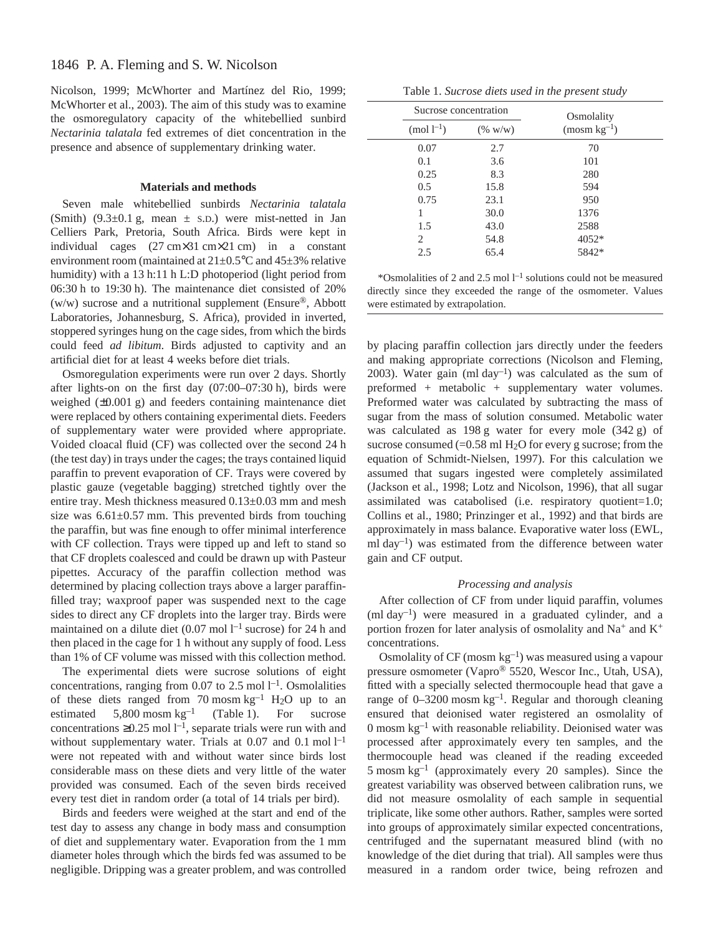Nicolson, 1999; McWhorter and Martínez del Rio, 1999; McWhorter et al., 2003). The aim of this study was to examine the osmoregulatory capacity of the whitebellied sunbird *Nectarinia talatala* fed extremes of diet concentration in the presence and absence of supplementary drinking water.

## **Materials and methods**

Seven male whitebellied sunbirds *Nectarinia talatala* (Smith)  $(9.3\pm0.1 \text{ g}, \text{mean } \pm \text{ s.D.})$  were mist-netted in Jan Celliers Park, Pretoria, South Africa. Birds were kept in individual cages  $(27 \text{ cm} \times 31 \text{ cm} \times 21 \text{ cm})$  in a constant environment room (maintained at  $21 \pm 0.5^{\circ}$ C and  $45 \pm 3\%$  relative humidity) with a 13 h:11 h L:D photoperiod (light period from 06:30 h to 19:30 h). The maintenance diet consisted of 20% (w/w) sucrose and a nutritional supplement (Ensure®, Abbott Laboratories, Johannesburg, S. Africa), provided in inverted, stoppered syringes hung on the cage sides, from which the birds could feed *ad libitum*. Birds adjusted to captivity and an artificial diet for at least 4 weeks before diet trials.

Osmoregulation experiments were run over 2 days. Shortly after lights-on on the first day  $(07:00-07:30h)$ , birds were weighed  $(\pm 0.001$  g) and feeders containing maintenance diet were replaced by others containing experimental diets. Feeders of supplementary water were provided where appropriate. Voided cloacal fluid (CF) was collected over the second 24 h (the test day) in trays under the cages; the trays contained liquid paraffin to prevent evaporation of CF. Trays were covered by plastic gauze (vegetable bagging) stretched tightly over the entire tray. Mesh thickness measured  $0.13\pm0.03$  mm and mesh size was  $6.61\pm0.57$  mm. This prevented birds from touching the paraffin, but was fine enough to offer minimal interference with CF collection. Trays were tipped up and left to stand so that CF droplets coalesced and could be drawn up with Pasteur pipettes. Accuracy of the paraffin collection method was determined by placing collection trays above a larger paraffinfilled tray; waxproof paper was suspended next to the cage sides to direct any CF droplets into the larger tray. Birds were maintained on a dilute diet  $(0.07 \text{ mol } l^{-1} \text{ sucrose})$  for 24 h and then placed in the cage for 1 h without any supply of food. Less than 1% of CF volume was missed with this collection method.

The experimental diets were sucrose solutions of eight concentrations, ranging from 0.07 to 2.5 mol  $l^{-1}$ . Osmolalities of these diets ranged from 70 mosm  $kg^{-1}$  H<sub>2</sub>O up to an estimated  $5,800$  mosm kg<sup>-1</sup> (Table 1). For sucrose concentrations  $\geq 0.25$  mol  $l^{-1}$ , separate trials were run with and without supplementary water. Trials at  $0.07$  and  $0.1$  mol  $l^{-1}$ were not repeated with and without water since birds lost considerable mass on these diets and very little of the water provided was consumed. Each of the seven birds received every test diet in random order (a total of 14 trials per bird).

Birds and feeders were weighed at the start and end of the test day to assess any change in body mass and consumption of diet and supplementary water. Evaporation from the 1 mm diameter holes through which the birds fed was assumed to be negligible. Dripping was a greater problem, and was controlled

|  |  | Table 1. Sucrose diets used in the present study |  |  |  |  |  |  |
|--|--|--------------------------------------------------|--|--|--|--|--|--|
|--|--|--------------------------------------------------|--|--|--|--|--|--|

|                | Sucrose concentration | Osmolality    |  |
|----------------|-----------------------|---------------|--|
| $(mod l^{-1})$ | (% w/w)               | $(mosm kg-1)$ |  |
| 0.07           | 2.7                   | 70            |  |
| 0.1            | 3.6                   | 101           |  |
| 0.25           | 8.3                   | 280           |  |
| 0.5            | 15.8                  | 594           |  |
| 0.75           | 23.1                  | 950           |  |
| 1              | 30.0                  | 1376          |  |
| 1.5            | 43.0                  | 2588          |  |
| 2              | 54.8                  | $4052*$       |  |
| 2.5            | 65.4                  | 5842*         |  |

\*Osmolalities of 2 and 2.5 mol  $l^{-1}$  solutions could not be measured directly since they exceeded the range of the osmometer. Values were estimated by extrapolation.

by placing paraffin collection jars directly under the feeders and making appropriate corrections (Nicolson and Fleming, 2003). Water gain (ml day<sup>-1</sup>) was calculated as the sum of preformed + metabolic + supplementary water volumes. Preformed water was calculated by subtracting the mass of sugar from the mass of solution consumed. Metabolic water was calculated as  $198g$  water for every mole  $(342g)$  of sucrose consumed  $(=0.58 \text{ ml H}_2O$  for every g sucrose; from the equation of Schmidt-Nielsen, 1997). For this calculation we assumed that sugars ingested were completely assimilated (Jackson et al., 1998; Lotz and Nicolson, 1996), that all sugar assimilated was catabolised (i.e. respiratory quotient=1.0; Collins et al., 1980; Prinzinger et al., 1992) and that birds are approximately in mass balance. Evaporative water loss (EWL, ml day<sup>-1</sup>) was estimated from the difference between water gain and CF output.

### *Processing and analysis*

After collection of CF from under liquid paraffin, volumes  $(\text{ml day}^{-1})$  were measured in a graduated cylinder, and a portion frozen for later analysis of osmolality and  $Na^+$  and  $K^+$ concentrations.

Osmolality of  $CF$  (mosm  $kg^{-1}$ ) was measured using a vapour pressure osmometer (Vapro® 5520, Wescor Inc., Utah, USA), fitted with a specially selected thermocouple head that gave a range of  $0-3200$  mosm kg<sup>-1</sup>. Regular and thorough cleaning ensured that deionised water registered an osmolality of 0 mosm  $kg^{-1}$  with reasonable reliability. Deionised water was processed after approximately every ten samples, and the thermocouple head was cleaned if the reading exceeded 5 mosm  $kg^{-1}$  (approximately every 20 samples). Since the greatest variability was observed between calibration runs, we did not measure osmolality of each sample in sequential triplicate, like some other authors. Rather, samples were sorted into groups of approximately similar expected concentrations, centrifuged and the supernatant measured blind (with no knowledge of the diet during that trial). All samples were thus measured in a random order twice, being refrozen and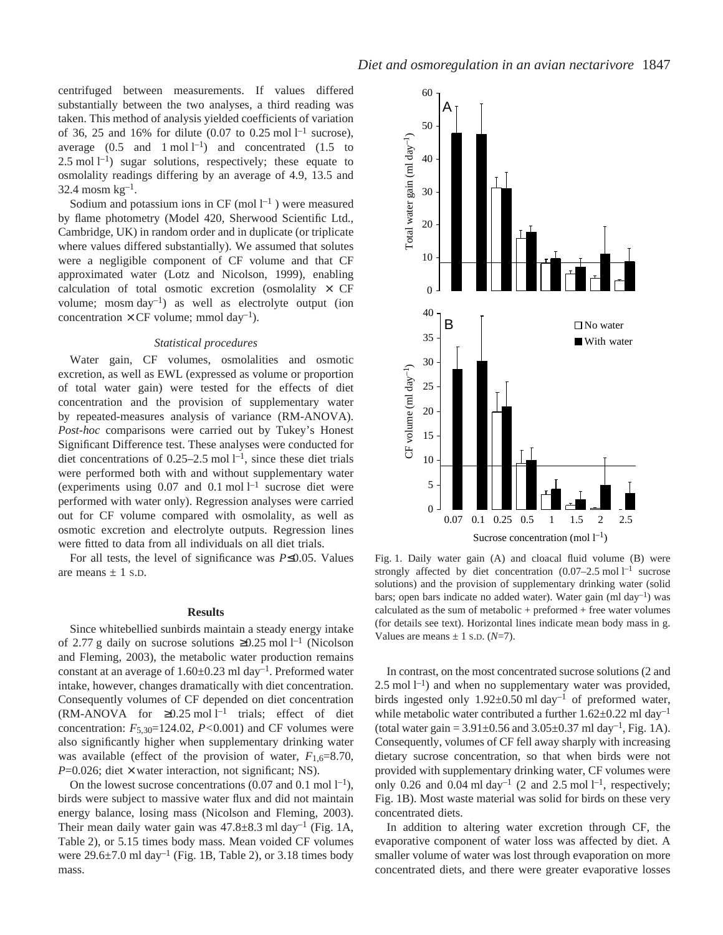centrifuged between measurements. If values differed substantially between the two analyses, a third reading was taken. This method of analysis yielded coefficients of variation of 36, 25 and 16% for dilute  $(0.07 \text{ to } 0.25 \text{ mol } l^{-1} \text{ sucrose})$ , average  $(0.5 \text{ and } 1 \text{ mol } l^{-1})$  and concentrated  $(1.5 \text{ to } 1.5 \text{ mol})$ 2.5 mol  $l^{-1}$ ) sugar solutions, respectively; these equate to osmolality readings differing by an average of 4.9, 13.5 and  $32.4$  mosm kg<sup>-1</sup>.

Sodium and potassium ions in CF (mol  $l^{-1}$ ) were measured by flame photometry (Model 420, Sherwood Scientific Ltd., Cambridge, UK) in random order and in duplicate (or triplicate where values differed substantially). We assumed that solutes were a negligible component of CF volume and that CF approximated water (Lotz and Nicolson, 1999), enabling calculation of total osmotic excretion (osmolality  $\times$  CF volume; mosm  $day^{-1}$ ) as well as electrolyte output (ion concentration  $\times$  CF volume; mmol day<sup>-1</sup>).

### *Statistical procedures*

Water gain, CF volumes, osmolalities and osmotic excretion, as well as EWL (expressed as volume or proportion of total water gain) were tested for the effects of diet concentration and the provision of supplementary water by repeated-measures analysis of variance (RM-ANOVA). *Post-hoc* comparisons were carried out by Tukey's Honest Significant Difference test. These analyses were conducted for diet concentrations of 0.25–2.5 mol  $l^{-1}$ , since these diet trials were performed both with and without supplementary water (experiments using  $0.07$  and  $0.1$  mol  $l^{-1}$  sucrose diet were performed with water only). Regression analyses were carried out for CF volume compared with osmolality, as well as osmotic excretion and electrolyte outputs. Regression lines were fitted to data from all individuals on all diet trials.

For all tests, the level of significance was *P*≤0.05. Values are means  $\pm$  1 s.D.

### **Results**

Since whitebellied sunbirds maintain a steady energy intake of 2.77 g daily on sucrose solutions  $\geq 0.25$  mol l<sup>-1</sup> (Nicolson and Fleming, 2003), the metabolic water production remains constant at an average of  $1.60\pm0.23$  ml day<sup>-1</sup>. Preformed water intake, however, changes dramatically with diet concentration. Consequently volumes of CF depended on diet concentration (RM-ANOVA for  $\geq 0.25$  mol l<sup>-1</sup> trials; effect of diet concentration: *F*5,30=124.02, *P<*0.001) and CF volumes were also significantly higher when supplementary drinking water was available (effect of the provision of water,  $F_{1,6}=8.70$ ,  $P=0.026$ ; diet  $\times$  water interaction, not significant; NS).

On the lowest sucrose concentrations (0.07 and 0.1 mol  $l^{-1}$ ), birds were subject to massive water flux and did not maintain energy balance, losing mass (Nicolson and Fleming, 2003). Their mean daily water gain was  $47.8\pm8.3$  ml day<sup>-1</sup> (Fig. 1A, Table 2), or 5.15 times body mass. Mean voided CF volumes were  $29.6\pm7.0$  ml day<sup>-1</sup> (Fig. 1B, Table 2), or 3.18 times body mass.



Fig. 1. Daily water gain (A) and cloacal fluid volume (B) were strongly affected by diet concentration  $(0.07-2.5 \text{ mol } l^{-1}$  sucrose solutions) and the provision of supplementary drinking water (solid bars; open bars indicate no added water). Water gain (ml day<sup>-1</sup>) was calculated as the sum of metabolic + preformed + free water volumes (for details see text). Horizontal lines indicate mean body mass in g. Values are means  $\pm$  1 s.p. ( $N=7$ ).

In contrast, on the most concentrated sucrose solutions (2 and  $2.5$  mol  $l^{-1}$ ) and when no supplementary water was provided, birds ingested only  $1.92 \pm 0.50$  ml day<sup>-1</sup> of preformed water, while metabolic water contributed a further  $1.62 \pm 0.22$  ml day<sup>-1</sup> (total water gain =  $3.91 \pm 0.56$  and  $3.05 \pm 0.37$  ml day<sup>-1</sup>, Fig. 1A). Consequently, volumes of CF fell away sharply with increasing dietary sucrose concentration, so that when birds were not provided with supplementary drinking water, CF volumes were only 0.26 and 0.04 ml day<sup>-1</sup> (2 and 2.5 mol  $l^{-1}$ , respectively; Fig. 1B). Most waste material was solid for birds on these very concentrated diets.

In addition to altering water excretion through CF, the evaporative component of water loss was affected by diet. A smaller volume of water was lost through evaporation on more concentrated diets, and there were greater evaporative losses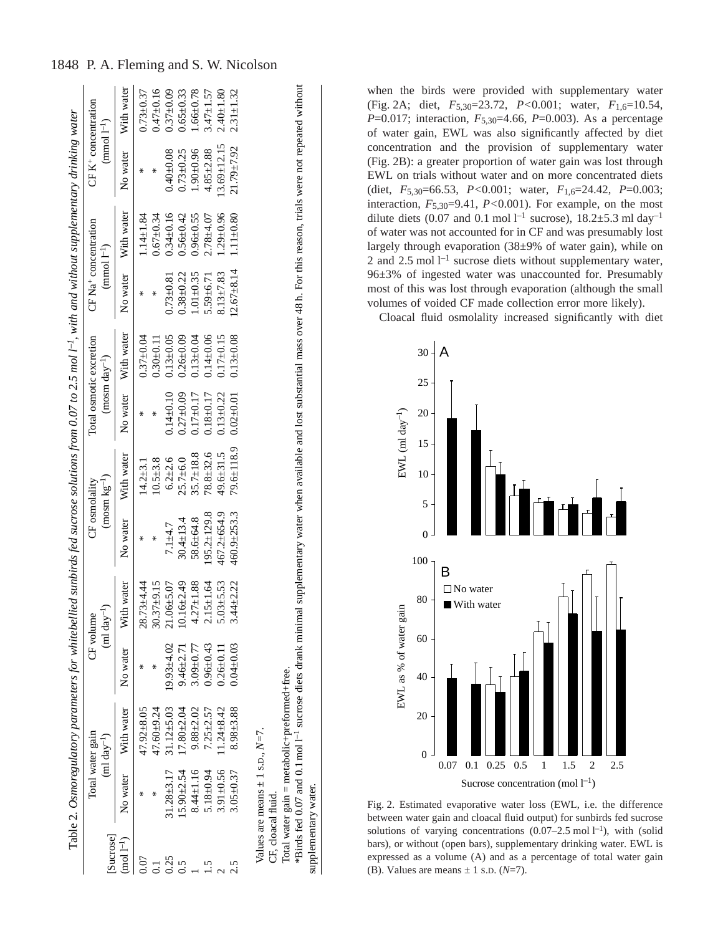| Sucrose      | Total water gain | $(ml day-1)$     |                | (ml day <sup>-1</sup> )<br>CF volume | CF osmolality   | $(mosm kg-1)$    |               | Total osmotic excretion<br>$(mosm day^{-1})$ | CF Na <sup>+</sup> concentration<br>$(mmod l^{-1})$ |                 | CF $K^+$ concentration<br>$(mmod 1^{-1})$ |               |
|--------------|------------------|------------------|----------------|--------------------------------------|-----------------|------------------|---------------|----------------------------------------------|-----------------------------------------------------|-----------------|-------------------------------------------|---------------|
| $mod 1^{-1}$ | No water         | With water       | No water       | With water                           | No water        | With water       | No water      | With water                                   | No water                                            | With water      | No water                                  | With water    |
|              |                  | 47.92±8.05       |                | $28.73 + 4.44$                       |                 | $14.2 + 3.1$     |               | $0.37 + 0.04$                                |                                                     | $1.14 \pm 1.84$ |                                           | $0.73 + 0.37$ |
|              |                  | $47.60 + 9.24$   |                | $30.37 + 9.15$                       | ∗               | $10.5 + 3.8$     | ∗             | $0.30 + 0.11$                                |                                                     | $0.67 + 0.34$   | ⋇                                         | $0.47 + 0.16$ |
| 0.25         | $31.28 + 3.17$   | $31.12 \pm 5.03$ | $19.93 + 4.02$ | $21.06 + 5.07$                       | $7.1 + 4.7$     | $6.2 \pm 2.6$    | $0.14 + 0.10$ | $0.13 + 0.05$                                | $0.73 \pm 0.81$                                     | $0.34 + 0.16$   | $0.40 \pm 0.08$                           | $0.37 + 0.09$ |
|              | $15.90 \pm 2.54$ | $17.80 + 2.04$   | $9.46 + 2.71$  | $10.16 \pm 2.49$                     | $30.4 \pm 13.4$ | $25.7 + 6.0$     | $0.27 + 0.09$ | $0.26 + 0.09$                                | $0.38 + 0.22$                                       | $0.56 + 0.42$   | $0.73 + 0.25$                             | $0.65 + 0.33$ |
|              | $8.44 \pm 1.16$  | $9.88 \pm 2.02$  | $3.09 + 0.77$  | $4.27 + 1.88$                        | 58.6±64.8       | $35.7 \pm 18.8$  | $0.17 + 0.17$ | $0.13 + 0.04$                                | $1.01 + 0.35$                                       | $0.96 + 0.55$   | $1.90 + 0.96$                             | $1.66 + 0.78$ |
|              | $5.18 \pm 0.94$  | $7.25 \pm 2.57$  | $0.96 + 0.43$  | $2.15 \pm 1.64$                      | 195.2±129.8     | $78.8 + 32.6$    | $0.18 + 0.17$ | $0.14 + 0.06$                                | $5.59 \pm 6.71$                                     | $2.78 + 4.07$   | $4.85 + 2.88$                             | $3.47 + 1.57$ |
|              | $3.91 \pm 0.56$  | $11.24 \pm 8.42$ | $0.26 + 0.11$  | $5.03 \pm 5.53$                      | 467.2±654.9     | 49.6±31.5        | $0.13 + 0.22$ | $0.17 + 0.15$                                | $8.13 \pm 7.83$                                     | $1.29 + 0.96$   | $13.69 \pm 12.15$                         | $2.40 + 1.80$ |
|              | $3.05 + 0.37$    | $8.98 + 3.88$    | $0.04 + 0.03$  | $3.44 \pm 2.22$                      | 460.9±253.3     | $79.6 \pm 118.9$ | $0.02 + 0.01$ | $0.13 + 0.08$                                | $12.67 + 8.14$                                      | $1.11 \pm 0.80$ | 21.79±7.92                                | $2.31 + 1.32$ |
|              |                  |                  |                |                                      |                 |                  |               |                                              |                                                     |                 |                                           |               |

Total water gain = metabolic+preformed+free.

Total water gain = metabolic+preformed+free.

supplementary water.

supplementary water.

\*Birds fed 0.07 and 0.1 mol·l–1 sucrose diets drank minimal supplementary water when available and lost substantial mass over 48·h. For this reason, trials were not repeated without

\*Birds fed 0.07 and 0.1 mol 1<sup>-1</sup> sucrose diets drank minimal supplementary water when available and lost substantial mass over 48 h. For this reason, trials were not repeated without

when the birds were provided with supplementary water (Fig. 2A; diet,  $F_{5,30} = 23.72$ ,  $P < 0.001$ ; water,  $F_{1,6} = 10.54$ , *P*=0.017; interaction, *F*<sub>5,30</sub>=4.66, *P*=0.003). As a percentage of water gain, EWL was also significantly affected by diet concentration and the provision of supplementary water (Fig. 2B): a greater proportion of water gain was lost through EWL on trials without water and on more concentrated diets (diet, *F*5,30=66.53, *P<*0.001; water, *F*1,6=24.42, *P*=0.003; interaction, *F*5,30=9.41, *P<*0.001). For example, on the most dilute diets (0.07 and 0.1 mol  $l^{-1}$  sucrose), 18.2 $\pm$ 5.3 ml day<sup>-1</sup> of water was not accounted for in CF and was presumably lost largely through evaporation (38±9% of water gain), while on 2 and 2.5 mol  $l^{-1}$  sucrose diets without supplementary water, 96±3% of ingested water was unaccounted for. Presumably most of this was lost through evaporation (although the small volumes of voided CF made collection error more likely). Cloacal fluid osmolality increased significantly with diet



Fig. 2. Estimated evaporative water loss (EWL, i.e. the difference between water gain and cloacal fluid output) for sunbirds fed sucrose solutions of varying concentrations  $(0.07-2.5 \text{ mol} \text{ } l^{-1})$ , with (solid bars), or without (open bars), supplementary drinking water. EWL is expressed as a volume (A) and as a percentage of total water gain (B). Values are means  $\pm$  1 s.p. ( $N=7$ ).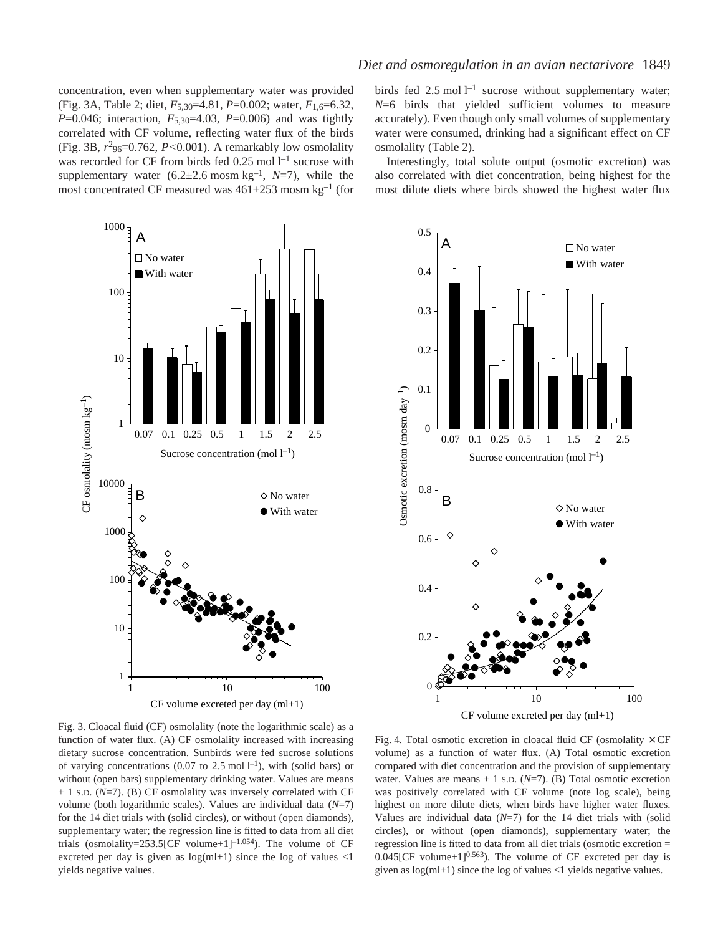concentration, even when supplementary water was provided (Fig. 3A, Table 2; diet, *F*<sub>5,30</sub>=4.81, *P*=0.002; water, *F*<sub>1,6</sub>=6.32, *P*=0.046; interaction, *F*<sub>5,30</sub>=4.03, *P*=0.006) and was tightly correlated with CF volume, reflecting water flux of the birds (Fig. 3B,  $r^2$ <sub>96</sub>=0.762,  $P$ <0.001). A remarkably low osmolality was recorded for CF from birds fed  $0.25 \text{ mol } l^{-1}$  sucrose with supplementary water  $(6.2 \pm 2.6 \text{ mosh} \text{ kg}^{-1}, N=7)$ , while the most concentrated CF measured was  $461\pm253$  mosm kg<sup>-1</sup> (for

birds fed 2.5 mol  $l^{-1}$  sucrose without supplementary water; *N*=6 birds that yielded sufficient volumes to measure accurately). Even though only small volumes of supplementary water were consumed, drinking had a significant effect on CF osmolality (Table 2).

Interestingly, total solute output (osmotic excretion) was also correlated with diet concentration, being highest for the most dilute diets where birds showed the highest water flux





Fig. 3. Cloacal fluid (CF) osmolality (note the logarithmic scale) as a function of water flux. (A) CF osmolality increased with increasing dietary sucrose concentration. Sunbirds were fed sucrose solutions of varying concentrations (0.07 to 2.5 mol  $l^{-1}$ ), with (solid bars) or without (open bars) supplementary drinking water. Values are means  $\pm$  1 s.D. ( $N=7$ ). (B) CF osmolality was inversely correlated with CF volume (both logarithmic scales). Values are individual data (*N*=7) for the 14 diet trials with (solid circles), or without (open diamonds), supplementary water; the regression line is fitted to data from all diet trials (osmolality=253.5[CF volume+1]<sup>-1.054</sup>). The volume of CF excreted per day is given as  $log(ml+1)$  since the log of values <1 yields negative values.

Fig. 4. Total osmotic excretion in cloacal fluid CF (osmolality  $\times$  CF volume) as a function of water flux. (A) Total osmotic excretion compared with diet concentration and the provision of supplementary water. Values are means  $\pm$  1 s.D. ( $N=7$ ). (B) Total osmotic excretion was positively correlated with CF volume (note log scale), being highest on more dilute diets, when birds have higher water fluxes. Values are individual data (*N*=7) for the 14 diet trials with (solid circles), or without (open diamonds), supplementary water; the regression line is fitted to data from all diet trials (osmotic excretion =  $0.045$ [CF volume+1]<sup>0.563</sup>). The volume of CF excreted per day is given as  $log(ml+1)$  since the log of values  $\langle 1 \rangle$  yields negative values.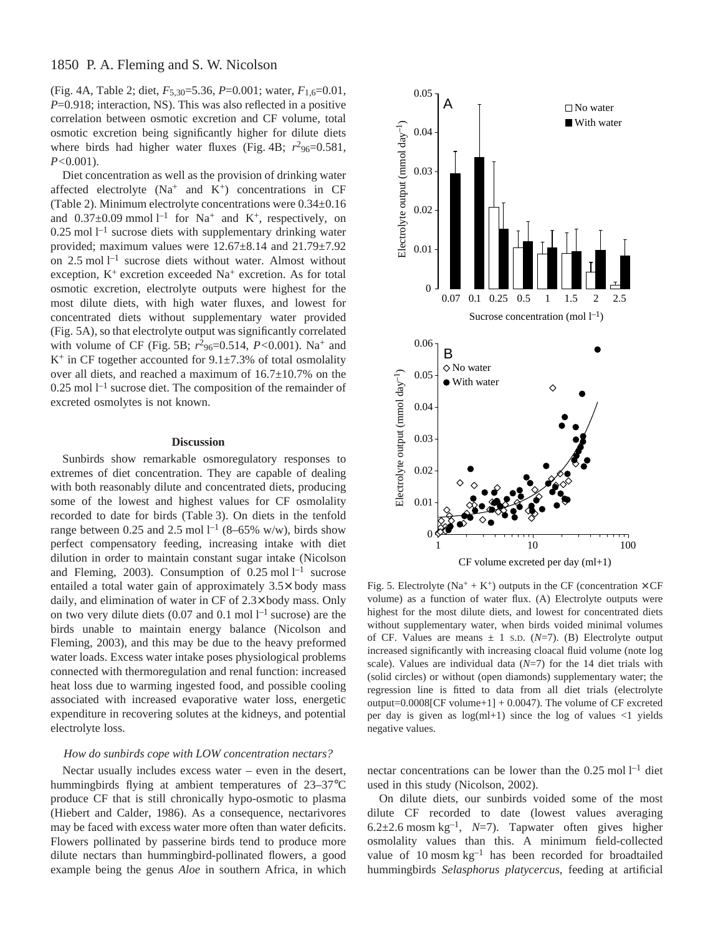# 1850 P. A. Fleming and S. W. Nicolson

(Fig. 4A, Table 2; diet,  $F_{5,30}=5.36$ ,  $P=0.001$ ; water,  $F_{1,6}=0.01$ , *P*=0.918; interaction, NS). This was also reflected in a positive correlation between osmotic excretion and CF volume, total osmotic excretion being significantly higher for dilute diets where birds had higher water fluxes (Fig. 4B;  $r^2$ <sub>96</sub>=0.581, *P<*0.001).

Diet concentration as well as the provision of drinking water affected electrolyte  $(Na^+$  and  $K^+)$  concentrations in CF (Table 2). Minimum electrolyte concentrations were  $0.34\pm0.16$ and  $0.37\pm0.09$  mmol  $l^{-1}$  for Na<sup>+</sup> and K<sup>+</sup>, respectively, on  $0.25$  mol  $l<sup>-1</sup>$  sucrose diets with supplementary drinking water provided; maximum values were 12.67±8.14 and 21.79±7.92 on  $2.5 \text{ mol } l^{-1}$  sucrose diets without water. Almost without exception, K<sup>+</sup> excretion exceeded Na<sup>+</sup> excretion. As for total osmotic excretion, electrolyte outputs were highest for the most dilute diets, with high water fluxes, and lowest for concentrated diets without supplementary water provided (Fig. 5A), so that electrolyte output was significantly correlated with volume of CF (Fig. 5B;  $r^2$ <sub>96</sub>=0.514, *P*<0.001). Na<sup>+</sup> and  $K^+$  in CF together accounted for 9.1 $\pm$ 7.3% of total osmolality over all diets, and reached a maximum of  $16.7\pm10.7\%$  on the  $0.25$  mol  $l<sup>-1</sup>$  sucrose diet. The composition of the remainder of excreted osmolytes is not known.

### **Discussion**

Sunbirds show remarkable osmoregulatory responses to extremes of diet concentration. They are capable of dealing with both reasonably dilute and concentrated diets, producing some of the lowest and highest values for CF osmolality recorded to date for birds (Table 3). On diets in the tenfold range between 0.25 and 2.5 mol  $l^{-1}$  (8–65% w/w), birds show perfect compensatory feeding, increasing intake with diet dilution in order to maintain constant sugar intake (Nicolson and Fleming, 2003). Consumption of  $0.25 \text{ mol } l^{-1}$  sucrose entailed a total water gain of approximately 3.5× body mass daily, and elimination of water in CF of 2.3× body mass. Only on two very dilute diets  $(0.07 \text{ and } 0.1 \text{ mol} \text{ } l^{-1} \text{ sucrose})$  are the birds unable to maintain energy balance (Nicolson and Fleming, 2003), and this may be due to the heavy preformed water loads. Excess water intake poses physiological problems connected with thermoregulation and renal function: increased heat loss due to warming ingested food, and possible cooling associated with increased evaporative water loss, energetic expenditure in recovering solutes at the kidneys, and potential electrolyte loss.

### *How do sunbirds cope with LOW concentration nectars?*

Nectar usually includes excess water – even in the desert, hummingbirds flying at ambient temperatures of 23–37°C produce CF that is still chronically hypo-osmotic to plasma (Hiebert and Calder, 1986). As a consequence, nectarivores may be faced with excess water more often than water deficits. Flowers pollinated by passerine birds tend to produce more dilute nectars than hummingbird-pollinated flowers, a good example being the genus *Aloe* in southern Africa, in which



Fig. 5. Electrolyte (Na<sup>+</sup> + K<sup>+</sup>) outputs in the CF (concentration  $\times$  CF volume) as a function of water flux. (A) Electrolyte outputs were highest for the most dilute diets, and lowest for concentrated diets without supplementary water, when birds voided minimal volumes of CF. Values are means  $\pm$  1 s.D. ( $N=7$ ). (B) Electrolyte output increased significantly with increasing cloacal fluid volume (note log scale). Values are individual data (*N*=7) for the 14 diet trials with (solid circles) or without (open diamonds) supplementary water; the regression line is fitted to data from all diet trials (electrolyte output= $0.0008$ [CF volume+1] + 0.0047). The volume of CF excreted per day is given as  $log(ml+1)$  since the log of values  $\langle 1 \rangle$  yields negative values.

nectar concentrations can be lower than the  $0.25 \text{ mol} \, \text{l}^{-1}$  diet used in this study (Nicolson, 2002).

On dilute diets, our sunbirds voided some of the most dilute CF recorded to date (lowest values averaging 6.2 $\pm$ 2.6 mosm kg<sup>-1</sup>, *N*=7). Tapwater often gives higher osmolality values than this. A minimum field-collected value of  $10$  mosm  $kg^{-1}$  has been recorded for broadtailed hummingbirds *Selasphorus platycercus*, feeding at artificial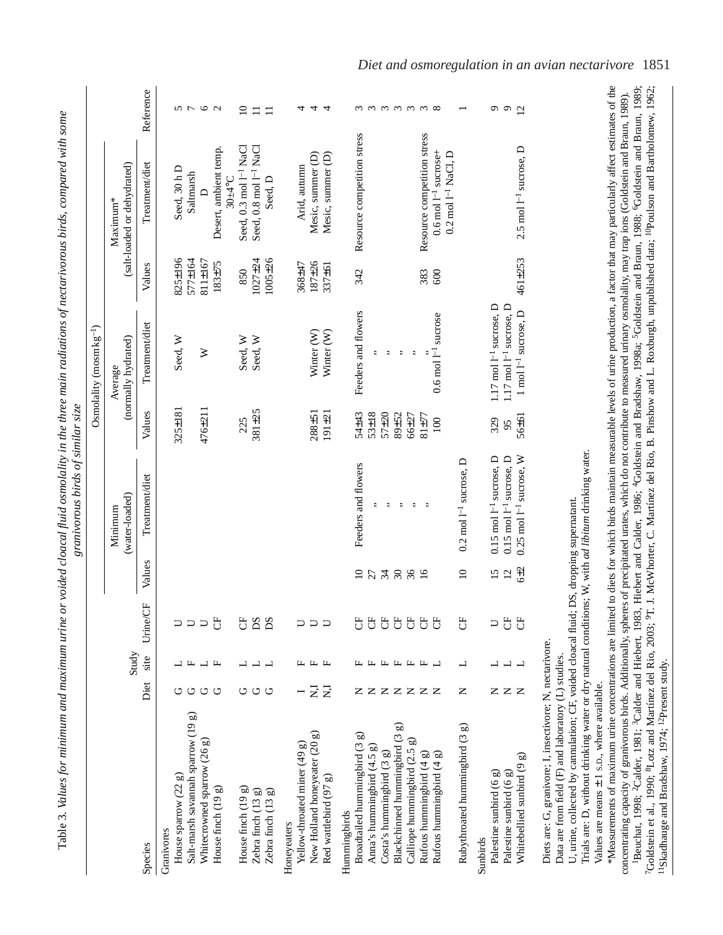|                                         |       |                |                |          |                                      |            | Osmolality (mosm $kg^{-1}$ )   |               |                                         |                            |
|-----------------------------------------|-------|----------------|----------------|----------|--------------------------------------|------------|--------------------------------|---------------|-----------------------------------------|----------------------------|
|                                         |       | Study          |                |          | (water-loaded)<br>Minimum            |            | (normally hydrated)<br>Average |               | (salt-loaded or dehydrated)<br>Maximum* |                            |
| Species                                 | Diet  | site           | 5<br>Urine     | Values   | Treatment/diet                       | Values     | Treatment/diet                 | Values        | Treatment/diet                          | Reference                  |
| Granivores                              |       |                |                |          |                                      |            |                                |               |                                         |                            |
| House sparrow (22 g)                    |       |                |                |          |                                      | 325±181    | Seed, W                        | 825±196       | Seed, 30 h D                            |                            |
| Salt-marsh savannah sparrow (19 g)      | ن     | ┗              | $\Box$         |          |                                      |            |                                | 577±164       | Saltmarsh                               | とし                         |
| Whitecrowned sparrow (26 g)             | O     |                | $\Box$         |          |                                      | 476±211    | ≽                              | 811±167       |                                         | $\circ$                    |
| House finch $(19 g)$                    | ت     | 山              | F              |          |                                      |            |                                | $183 + 75$    | Desert, ambient temp.                   | $\sim$                     |
|                                         |       |                |                |          |                                      |            |                                |               | $30 + 4$ °C                             |                            |
| House finch $(19 g)$                    | ゥ     |                | F              |          |                                      | 225        | Seed, W                        | 850           | Seed, 0.3 mol $I^{-1}$ NaCl             | $\supseteq$                |
| Zebra finch (13 g)                      | じ     | $\overline{a}$ | DS             |          |                                      | 381±25     | Seed, W                        | 1027±24       | Seed, 0.8 mol 1 <sup>-1</sup> NaCl      | □                          |
| Zebra finch (13 g)                      | U     |                | DS             |          |                                      |            |                                | $1005 \pm 26$ | Seed, D                                 | $\Box$                     |
| Honeyeaters                             |       |                |                |          |                                      |            |                                |               |                                         |                            |
| Yellow-throated miner $(49 g)$          |       |                | $\cup$         |          |                                      |            |                                | 368±47        | Arid, autumn                            | ₹                          |
| New Holland honeyeater (20 g)           | Ę     |                | $\Box$         |          |                                      | 288±51     | Winter (W)                     | 187±26        | Mesic, summer (D)                       | 4                          |
| Red wattlebird (97 g)                   | $\Xi$ |                |                |          |                                      | $191 + 21$ | Winter <sub>(W)</sub>          | 337±61        | Mesic, summer (D)                       | 4                          |
| Hummingbirds                            |       |                |                |          |                                      |            |                                |               |                                         |                            |
| Broadtailed hummingbird (3 g)           |       |                | F              | $\Omega$ | Feeders and flowers                  | 54±43      | Feeders and flowers            | 342           | Resource competition stress             |                            |
| Anna's hummingbird (4.5 g)              | Z Z Z |                | $\overline{C}$ | 27       |                                      | 53±18      | t,                             |               |                                         | $\omega$ $\omega$ $\omega$ |
| $Costa's$ hummingbird $(3 g)$           |       | щ              | F              |          | t                                    | $57 + 20$  | ţ,                             |               |                                         |                            |
| <u>ය</u><br>Blackchinned hummingbird (3 |       |                | $\overline{C}$ |          | $\ddot{\phantom{0}}$                 | 89±52      | ¢,                             |               |                                         |                            |
| Calliope hummingbird (2.5 g)            | ZZZZ  |                | $\overline{C}$ | 380      | $\ddot{\cdot}$                       | 66±27      | $\ddot{\phantom{0}}$           |               |                                         | $\omega \omega \omega$     |
| Rufous hummingbird (4 g)                |       | 工              | $\overline{C}$ |          | $\ddot{\phantom{0}}$                 | 81±77      |                                | 383           | Resource competition stress             |                            |
| Rufous hummingbird (4 g)                |       | ب              | F              |          |                                      | $100\,$    | $0.6$ mol $1^{-1}$ sucrose     | 600           | $0.6 \text{ mol}$ $1^{-1}$ sucrose+     |                            |
| Rubythroated hummingbird (3 g)          | Z     | ᆜ              | $\overline{C}$ | $\Omega$ | $0.2 \text{ mol } 1^{-1}$ sucrose, D |            |                                |               | $0.2 \text{ mol}$ $1^{-1}$ NaCl, D      |                            |
|                                         |       |                |                |          |                                      |            |                                |               |                                         |                            |
| Sunbirds                                |       |                |                |          |                                      |            |                                |               |                                         |                            |

of nectarivarous hirds compared with some Table·3. *Values for minimum and maximum urine or voided cloacal fluid osmolality in the three main radiations of nectarivorous birds, compared with some* radiation  $\ddot{u}$ molality in the three osidad alaqaal fluid oo  $\frac{1}{2}$  $\ddot{ }$  $\epsilon$  $T_0$ ble  $2$   $1/aL$ 

Diets are: G, granivore; I, insectivore; N, nectarivore. Diets are: G, granivore; I, insectivore; N, nectarivore. Data are from field (F) and laboratory (L) studies.

Whitebellied sunbird (9 g)  $N$  L L CF 6

Whitebellied sunbird (9 g) Palestine sunbird (6 g)

Palestine sunbird (6  $g$ )

Data are from field (F) and laboratory (L) studies.

U, urine, collected by cannulation; CF, voided cloacal fluid; DS, dropping supernatant. U, urine, collected by cannulation; CF, voided cloacal fluid; DS, dropping supernatant.

Trials are: D, without drinking water or dry natural conditions; W, with ad libitum drinking water. Trials are: D, without drinking water or dry natural conditions; W, with *ad libitum* drinking water.

Values are means Values are means  $\pm$  1 s.p., where available. 1 S.D., where available.

\*Measurements of maximum urine concentrations are limited to diets for which birds maintain measurable levels of urine production, a factor that may particularly affect estimates of the \*Measurements of maximum urine concentrations are limited to diets for which birds maintain measurable levels of urine production, a factor that may particularly affect estimates of the Beuchat, 1998; <sup>2</sup>Calder, 1981; <sup>3</sup>Calder and Hiebert, 1983, Hiebert and Calder, 1986; <sup>4</sup>Goldstein and Bradshaw, 1998a; <sup>5</sup>Goldstein and Braun, 1988; <sup>6</sup>Goldstein and Braun, 1989; 7Goldstein et al., 1990; 8Lotz and Martínez del Rio, 2003; 9T. J. McWhorter, C. Martínez del Rio, B. Pinshow and L. Roxburgh, unpublished data; <sup>10</sup>Poulson and Bartholomew, 1962; concentrating capacity of granivorous birds. Additionally, spheres of precipitated urates, which do not contribute to measured urinary osmolality, may trap ions (Goldstein and Braun, 1989).<br><sup>1</sup>Beuchat, 1998; <sup>2</sup>Calder, 198 concentrating capacity of granivorous birds. Additionally, spheres of precipitated urates, which do not contribute to measured urinary osmolality, may trap ions (Goldstein and Braun, 1989). <sup>11</sup>Skadhauge and Bradshaw, 1974; <sup>12</sup>Present study. 11Skadhauge and Bradshaw, 1974; 12Present study.

 $992$ 

 $\pm 253$  2.5 mol<sup> $1$ –1</sup> sucrose, D 12

2.5 mol 1<sup>-1</sup> sucrose, D

461±253

Palestine sunbird (6 g)  $\blacksquare$  N L  $\blacksquare$  15 0.15 mol 1-1 sucrose, D 329 1.17 mol 1-1 sucrose, D 9 Palestine sunbird (6 g)  $\blacksquare$  N L  $\blacksquare$  12 mol 1–1 sucrose, D 95 1.17 mol 1–1 sucrose, D 95 1.17 mol 1–1 sucrose, D

 $0.15$  mol  $\mathbb{I}^{-1}$  sucrose, D  $0.15$  mol  $\mathbb{I}^{-1}$  sucrose, D  $0.25$  mol  $\rm I^{-1}$  sucrose,  $\rm W$ 

 $15 \n2 \n3$ 

 $\neg$   $\forall$   $\forall$ 

コココ

 $Z Z Z$ 

 $\pm$ 2 0.25 mol<sup>-1</sup> sucrose, W 56

 $\pm 61$  1 mol  $l^{-1}$  sucrose, D 461

56±61 329

 $1.17$  mol  $1^{-1}$  sucrose, D  $1.17 \text{ mol} \text{ } 1^{-1} \text{ sucrose}, \text{ } D$ 1 mol  $1^{-1}$  sucrose,  $D$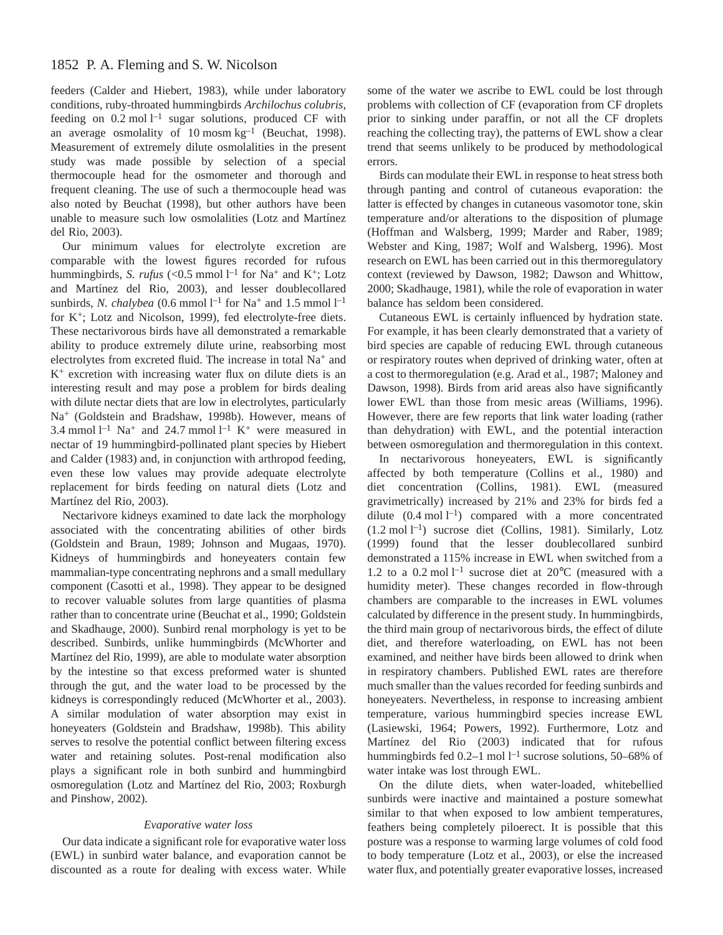# 1852 P. A. Fleming and S. W. Nicolson

feeders (Calder and Hiebert, 1983), while under laboratory conditions, ruby-throated hummingbirds *Archilochus colubris*, feeding on  $0.2$  mol  $l^{-1}$  sugar solutions, produced CF with an average osmolality of 10 mosm $kg^{-1}$  (Beuchat, 1998). Measurement of extremely dilute osmolalities in the present study was made possible by selection of a special thermocouple head for the osmometer and thorough and frequent cleaning. The use of such a thermocouple head was also noted by Beuchat (1998), but other authors have been unable to measure such low osmolalities (Lotz and Martínez del Rio, 2003).

Our minimum values for electrolyte excretion are comparable with the lowest figures recorded for rufous hummingbirds, *S. rufus* (<0.5 mmol  $l^{-1}$  for Na<sup>+</sup> and K<sup>+</sup>; Lotz and Martínez del Rio, 2003), and lesser doublecollared sunbirds, *N. chalybea* (0.6 mmol  $l^{-1}$  for Na<sup>+</sup> and 1.5 mmol  $l^{-1}$ for  $K^+$ ; Lotz and Nicolson, 1999), fed electrolyte-free diets. These nectarivorous birds have all demonstrated a remarkable ability to produce extremely dilute urine, reabsorbing most electrolytes from excreted fluid. The increase in total Na+ and  $K^+$  excretion with increasing water flux on dilute diets is an interesting result and may pose a problem for birds dealing with dilute nectar diets that are low in electrolytes, particularly Na+ (Goldstein and Bradshaw, 1998b). However, means of 3.4 mmol  $l^{-1}$  Na<sup>+</sup> and 24.7 mmol  $l^{-1}$  K<sup>+</sup> were measured in nectar of 19 hummingbird-pollinated plant species by Hiebert and Calder (1983) and, in conjunction with arthropod feeding, even these low values may provide adequate electrolyte replacement for birds feeding on natural diets (Lotz and Martínez del Rio, 2003).

Nectarivore kidneys examined to date lack the morphology associated with the concentrating abilities of other birds (Goldstein and Braun, 1989; Johnson and Mugaas, 1970). Kidneys of hummingbirds and honeyeaters contain few mammalian-type concentrating nephrons and a small medullary component (Casotti et al., 1998). They appear to be designed to recover valuable solutes from large quantities of plasma rather than to concentrate urine (Beuchat et al., 1990; Goldstein and Skadhauge, 2000). Sunbird renal morphology is yet to be described. Sunbirds, unlike hummingbirds (McWhorter and Martínez del Rio, 1999), are able to modulate water absorption by the intestine so that excess preformed water is shunted through the gut, and the water load to be processed by the kidneys is correspondingly reduced (McWhorter et al., 2003). A similar modulation of water absorption may exist in honeyeaters (Goldstein and Bradshaw, 1998b). This ability serves to resolve the potential conflict between filtering excess water and retaining solutes. Post-renal modification also plays a significant role in both sunbird and hummingbird osmoregulation (Lotz and Martínez del Rio, 2003; Roxburgh and Pinshow, 2002).

## *Evaporative water loss*

Our data indicate a significant role for evaporative water loss (EWL) in sunbird water balance, and evaporation cannot be discounted as a route for dealing with excess water. While some of the water we ascribe to EWL could be lost through problems with collection of CF (evaporation from CF droplets prior to sinking under paraffin, or not all the CF droplets reaching the collecting tray), the patterns of EWL show a clear trend that seems unlikely to be produced by methodological errors.

Birds can modulate their EWL in response to heat stress both through panting and control of cutaneous evaporation: the latter is effected by changes in cutaneous vasomotor tone, skin temperature and/or alterations to the disposition of plumage (Hoffman and Walsberg, 1999; Marder and Raber, 1989; Webster and King, 1987; Wolf and Walsberg, 1996). Most research on EWL has been carried out in this thermoregulatory context (reviewed by Dawson, 1982; Dawson and Whittow, 2000; Skadhauge, 1981), while the role of evaporation in water balance has seldom been considered.

Cutaneous EWL is certainly influenced by hydration state. For example, it has been clearly demonstrated that a variety of bird species are capable of reducing EWL through cutaneous or respiratory routes when deprived of drinking water, often at a cost to thermoregulation (e.g. Arad et al., 1987; Maloney and Dawson, 1998). Birds from arid areas also have significantly lower EWL than those from mesic areas (Williams, 1996). However, there are few reports that link water loading (rather than dehydration) with EWL, and the potential interaction between osmoregulation and thermoregulation in this context.

In nectarivorous honeyeaters, EWL is significantly affected by both temperature (Collins et al., 1980) and diet concentration (Collins, 1981). EWL (measured gravimetrically) increased by 21% and 23% for birds fed a dilute  $(0.4 \text{ mol } l^{-1})$  compared with a more concentrated  $(1.2 \text{ mol } l^{-1})$  sucrose diet (Collins, 1981). Similarly, Lotz (1999) found that the lesser doublecollared sunbird demonstrated a 115% increase in EWL when switched from a 1.2 to a 0.2 mol  $l^{-1}$  sucrose diet at 20°C (measured with a humidity meter). These changes recorded in flow-through chambers are comparable to the increases in EWL volumes calculated by difference in the present study. In hummingbirds, the third main group of nectarivorous birds, the effect of dilute diet, and therefore waterloading, on EWL has not been examined, and neither have birds been allowed to drink when in respiratory chambers. Published EWL rates are therefore much smaller than the values recorded for feeding sunbirds and honeyeaters. Nevertheless, in response to increasing ambient temperature, various hummingbird species increase EWL (Lasiewski, 1964; Powers, 1992). Furthermore, Lotz and Martínez del Rio (2003) indicated that for rufous hummingbirds fed  $0.2-1$  mol  $l^{-1}$  sucrose solutions, 50–68% of water intake was lost through EWL.

On the dilute diets, when water-loaded, whitebellied sunbirds were inactive and maintained a posture somewhat similar to that when exposed to low ambient temperatures, feathers being completely piloerect. It is possible that this posture was a response to warming large volumes of cold food to body temperature (Lotz et al., 2003), or else the increased water flux, and potentially greater evaporative losses, increased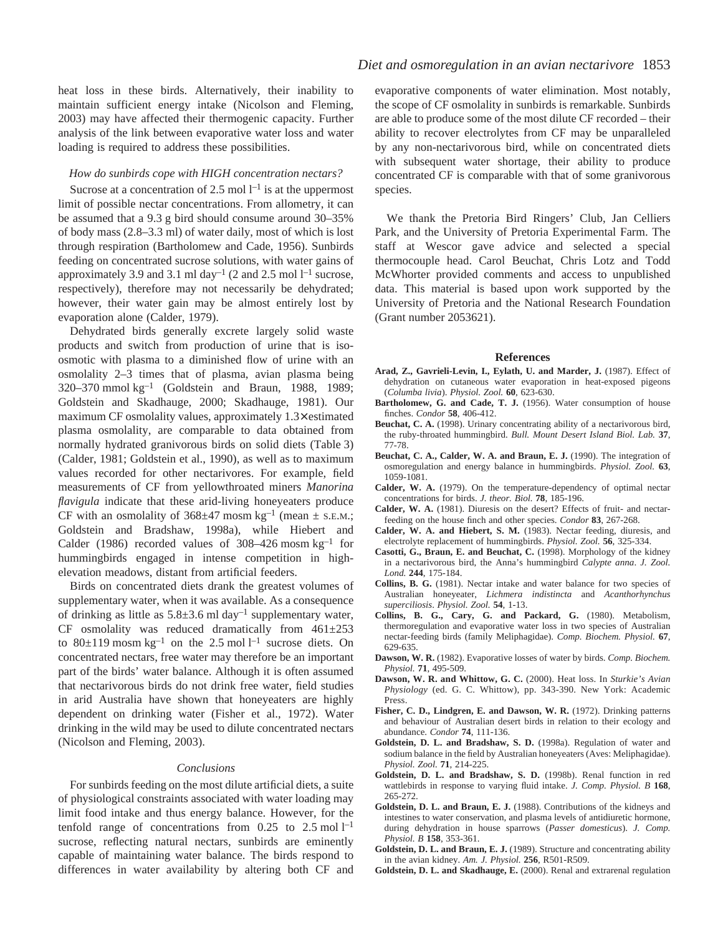heat loss in these birds. Alternatively, their inability to maintain sufficient energy intake (Nicolson and Fleming, 2003) may have affected their thermogenic capacity. Further analysis of the link between evaporative water loss and water loading is required to address these possibilities.

### *How do sunbirds cope with HIGH concentration nectars?*

Sucrose at a concentration of 2.5 mol  $l^{-1}$  is at the uppermost limit of possible nectar concentrations. From allometry, it can be assumed that a 9.3 g bird should consume around 30–35% of body mass (2.8–3.3·ml) of water daily, most of which is lost through respiration (Bartholomew and Cade, 1956). Sunbirds feeding on concentrated sucrose solutions, with water gains of approximately 3.9 and 3.1 ml day<sup>-1</sup> (2 and 2.5 mol  $l<sup>-1</sup>$  sucrose, respectively), therefore may not necessarily be dehydrated; however, their water gain may be almost entirely lost by evaporation alone (Calder, 1979).

Dehydrated birds generally excrete largely solid waste products and switch from production of urine that is isoosmotic with plasma to a diminished flow of urine with an osmolality 2–3 times that of plasma, avian plasma being 320–370 mmol $kg^{-1}$  (Goldstein and Braun, 1988, 1989; Goldstein and Skadhauge, 2000; Skadhauge, 1981). Our maximum CF osmolality values, approximately 1.3× estimated plasma osmolality, are comparable to data obtained from normally hydrated granivorous birds on solid diets (Table 3) (Calder, 1981; Goldstein et al., 1990), as well as to maximum values recorded for other nectarivores. For example, field measurements of CF from yellowthroated miners *Manorina flavigula* indicate that these arid-living honeyeaters produce CF with an osmolality of  $368\pm47$  mosm kg<sup>-1</sup> (mean  $\pm$  s.e.m.; Goldstein and Bradshaw, 1998a), while Hiebert and Calder (1986) recorded values of  $308-426$  mosm kg<sup>-1</sup> for hummingbirds engaged in intense competition in highelevation meadows, distant from artificial feeders.

Birds on concentrated diets drank the greatest volumes of supplementary water, when it was available. As a consequence of drinking as little as  $5.8\pm3.6$  ml day<sup>-1</sup> supplementary water, CF osmolality was reduced dramatically from  $461\pm253$ to  $80\pm119$  mosm kg<sup>-1</sup> on the 2.5 mol<sup>1-1</sup> sucrose diets. On concentrated nectars, free water may therefore be an important part of the birds' water balance. Although it is often assumed that nectarivorous birds do not drink free water, field studies in arid Australia have shown that honeyeaters are highly dependent on drinking water (Fisher et al., 1972). Water drinking in the wild may be used to dilute concentrated nectars (Nicolson and Fleming, 2003).

#### *Conclusions*

For sunbirds feeding on the most dilute artificial diets, a suite of physiological constraints associated with water loading may limit food intake and thus energy balance. However, for the tenfold range of concentrations from  $0.25$  to  $2.5 \text{ mol } l^{-1}$ sucrose, reflecting natural nectars, sunbirds are eminently capable of maintaining water balance. The birds respond to differences in water availability by altering both CF and evaporative components of water elimination. Most notably, the scope of CF osmolality in sunbirds is remarkable. Sunbirds are able to produce some of the most dilute CF recorded – their ability to recover electrolytes from CF may be unparalleled by any non-nectarivorous bird, while on concentrated diets with subsequent water shortage, their ability to produce concentrated CF is comparable with that of some granivorous species.

We thank the Pretoria Bird Ringers' Club, Jan Celliers Park, and the University of Pretoria Experimental Farm. The staff at Wescor gave advice and selected a special thermocouple head. Carol Beuchat, Chris Lotz and Todd McWhorter provided comments and access to unpublished data. This material is based upon work supported by the University of Pretoria and the National Research Foundation (Grant number 2053621).

#### **References**

- **Arad, Z., Gavrieli-Levin, I., Eylath, U. and Marder, J.** (1987). Effect of dehydration on cutaneous water evaporation in heat-exposed pigeons (*Columba livia*). *Physiol. Zool.* **60**, 623-630.
- **Bartholomew, G. and Cade, T. J.** (1956). Water consumption of house finches. *Condor* **58**, 406-412.
- **Beuchat, C. A.** (1998). Urinary concentrating ability of a nectarivorous bird, the ruby-throated hummingbird. *Bull. Mount Desert Island Biol. Lab.* **37**, 77-78.
- **Beuchat, C. A., Calder, W. A. and Braun, E. J.** (1990). The integration of osmoregulation and energy balance in hummingbirds. *Physiol. Zool.* **63**, 1059-1081.
- **Calder, W. A.** (1979). On the temperature-dependency of optimal nectar concentrations for birds. *J. theor. Biol.* **78**, 185-196.
- **Calder, W. A.** (1981). Diuresis on the desert? Effects of fruit- and nectarfeeding on the house finch and other species. *Condor* **83**, 267-268.
- **Calder, W. A. and Hiebert, S. M.** (1983). Nectar feeding, diuresis, and electrolyte replacement of hummingbirds. *Physiol. Zool.* **56**, 325-334.
- **Casotti, G., Braun, E. and Beuchat, C.** (1998). Morphology of the kidney in a nectarivorous bird, the Anna's hummingbird *Calypte anna*. *J. Zool. Lond.* **244**, 175-184.
- **Collins, B. G.** (1981). Nectar intake and water balance for two species of Australian honeyeater, *Lichmera indistincta* and *Acanthorhynchus superciliosis*. *Physiol. Zool.* **54**, 1-13.
- **Collins, B. G., Cary, G. and Packard, G.** (1980). Metabolism, thermoregulation and evaporative water loss in two species of Australian nectar-feeding birds (family Meliphagidae). *Comp. Biochem. Physiol.* **67**, 629-635.
- **Dawson, W. R.** (1982). Evaporative losses of water by birds. *Comp. Biochem. Physiol.* **71**, 495-509.
- **Dawson, W. R. and Whittow, G. C.** (2000). Heat loss. In *Sturkie's Avian Physiology* (ed. G. C. Whittow), pp. 343-390. New York: Academic Press.
- **Fisher, C. D., Lindgren, E. and Dawson, W. R.** (1972). Drinking patterns and behaviour of Australian desert birds in relation to their ecology and abundance. *Condor* **74**, 111-136.
- **Goldstein, D. L. and Bradshaw, S. D.** (1998a). Regulation of water and sodium balance in the field by Australian honeyeaters (Aves: Meliphagidae). *Physiol. Zool.* **71**, 214-225.
- **Goldstein, D. L. and Bradshaw, S. D.** (1998b). Renal function in red wattlebirds in response to varying fluid intake. *J. Comp. Physiol. B* **168**, 265-272.
- **Goldstein, D. L. and Braun, E. J.** (1988). Contributions of the kidneys and intestines to water conservation, and plasma levels of antidiuretic hormone, during dehydration in house sparrows (*Passer domesticus*). *J. Comp. Physiol. B* **158**, 353-361.
- **Goldstein, D. L. and Braun, E. J.** (1989). Structure and concentrating ability in the avian kidney. *Am. J. Physiol.* **256**, R501-R509.
- **Goldstein, D. L. and Skadhauge, E.** (2000). Renal and extrarenal regulation